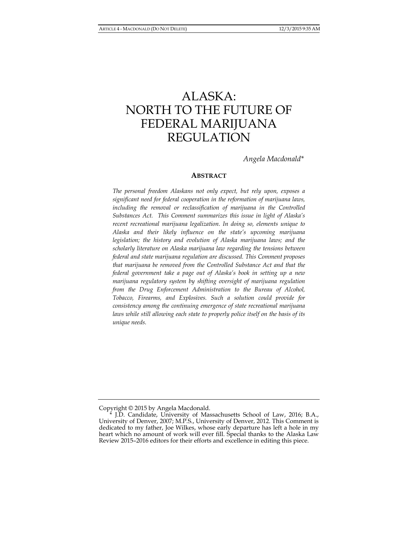# ALASKA: NORTH TO THE FUTURE OF FEDERAL MARIJUANA REGULATION

*Angela Macdonald\** 

## **ABSTRACT**

*The personal freedom Alaskans not only expect, but rely upon, exposes a significant need for federal cooperation in the reformation of marijuana laws, including the removal or reclassification of marijuana in the Controlled Substances Act. This Comment summarizes this issue in light of Alaska's recent recreational marijuana legalization. In doing so, elements unique to Alaska and their likely influence on the state's upcoming marijuana legislation; the history and evolution of Alaska marijuana laws; and the scholarly literature on Alaska marijuana law regarding the tensions between federal and state marijuana regulation are discussed. This Comment proposes that marijuana be removed from the Controlled Substance Act and that the federal government take a page out of Alaska's book in setting up a new marijuana regulatory system by shifting oversight of marijuana regulation from the Drug Enforcement Administration to the Bureau of Alcohol, Tobacco, Firearms, and Explosives. Such a solution could provide for consistency among the continuing emergence of state recreational marijuana*  laws while still allowing each state to properly police itself on the basis of its *unique needs.* 

Copyright © 2015 by Angela Macdonald.

 <sup>\*</sup> J.D. Candidate, University of Massachusetts School of Law, 2016; B.A., University of Denver, 2007; M.P.S., University of Denver, 2012. This Comment is dedicated to my father, Joe Wilkes, whose early departure has left a hole in my heart which no amount of work will ever fill. Special thanks to the Alaska Law Review 2015–2016 editors for their efforts and excellence in editing this piece.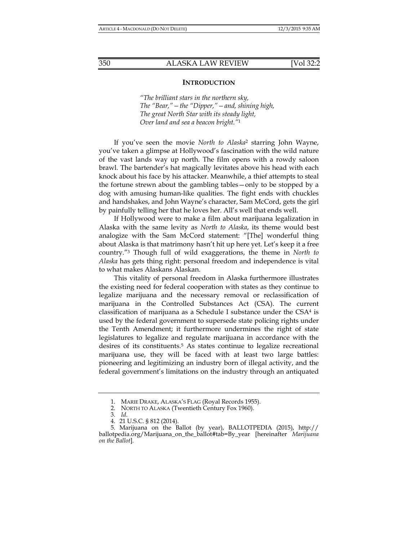#### **INTRODUCTION**

*"The brilliant stars in the northern sky, The "Bear,"—the "Dipper,"—and, shining high, The great North Star with its steady light, Over land and sea a beacon bright."*<sup>1</sup>

If you've seen the movie *North to Alaska*2 starring John Wayne, you've taken a glimpse at Hollywood's fascination with the wild nature of the vast lands way up north. The film opens with a rowdy saloon brawl. The bartender's hat magically levitates above his head with each knock about his face by his attacker. Meanwhile, a thief attempts to steal the fortune strewn about the gambling tables—only to be stopped by a dog with amusing human-like qualities. The fight ends with chuckles and handshakes, and John Wayne's character, Sam McCord, gets the girl by painfully telling her that he loves her. All's well that ends well.

If Hollywood were to make a film about marijuana legalization in Alaska with the same levity as *North to Alaska*, its theme would best analogize with the Sam McCord statement: "[The] wonderful thing about Alaska is that matrimony hasn't hit up here yet. Let's keep it a free country."3 Though full of wild exaggerations, the theme in *North to Alaska* has gets thing right: personal freedom and independence is vital to what makes Alaskans Alaskan.

This vitality of personal freedom in Alaska furthermore illustrates the existing need for federal cooperation with states as they continue to legalize marijuana and the necessary removal or reclassification of marijuana in the Controlled Substances Act (CSA). The current classification of marijuana as a Schedule I substance under the  $CSA<sup>4</sup>$  is used by the federal government to supersede state policing rights under the Tenth Amendment; it furthermore undermines the right of state legislatures to legalize and regulate marijuana in accordance with the desires of its constituents.<sup>5</sup> As states continue to legalize recreational marijuana use, they will be faced with at least two large battles: pioneering and legitimizing an industry born of illegal activity, and the federal government's limitations on the industry through an antiquated

 <sup>1.</sup> MARIE DRAKE, ALASKA'S FLAG (Royal Records 1955).

 <sup>2.</sup> NORTH TO ALASKA (Twentieth Century Fox 1960).

 <sup>3.</sup> *Id*.

 <sup>4. 21</sup> U.S.C. § 812 (2014).

 <sup>5.</sup> Marijuana on the Ballot (by year), BALLOTPEDIA (2015), http:// ballotpedia.org/Marijuana\_on\_the\_ballot#tab=By\_year [hereinafter *Marijuana on the Ballot*].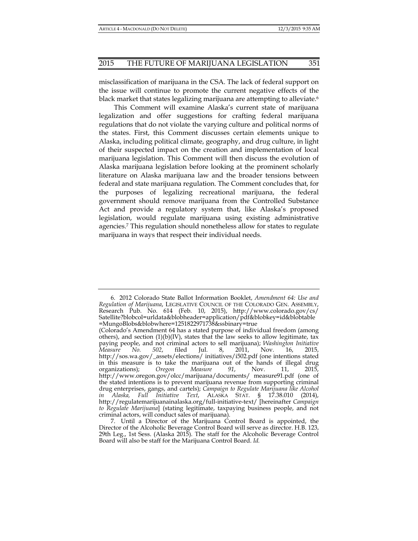misclassification of marijuana in the CSA. The lack of federal support on the issue will continue to promote the current negative effects of the black market that states legalizing marijuana are attempting to alleviate.<sup>6</sup>

This Comment will examine Alaska's current state of marijuana legalization and offer suggestions for crafting federal marijuana regulations that do not violate the varying culture and political norms of the states. First, this Comment discusses certain elements unique to Alaska, including political climate, geography, and drug culture, in light of their suspected impact on the creation and implementation of local marijuana legislation. This Comment will then discuss the evolution of Alaska marijuana legislation before looking at the prominent scholarly literature on Alaska marijuana law and the broader tensions between federal and state marijuana regulation. The Comment concludes that, for the purposes of legalizing recreational marijuana, the federal government should remove marijuana from the Controlled Substance Act and provide a regulatory system that, like Alaska's proposed legislation, would regulate marijuana using existing administrative agencies.7 This regulation should nonetheless allow for states to regulate marijuana in ways that respect their individual needs.

 <sup>6. 2012</sup> Colorado State Ballot Information Booklet, *Amendment 64: Use and Regulation of Marijuana*, LEGISLATIVE COUNCIL OF THE COLORADO GEN. ASSEMBLY, Research Pub. No. 614 (Feb. 10, 2015), http://www.colorado.gov/cs/ Satellite?blobcol=urldata&blobheader=application/pdf&blobkey=id&blobtable =MungoBlobs&blobwhere=1251822971738&ssbinary=true

<sup>(</sup>Colorado's Amendment 64 has a stated purpose of individual freedom (among others), and section  $(1)(b)(IV)$ , states that the law seeks to allow legitimate, tax paying people, and not criminal actors to sell marijuana); *Washington Initiative Measure No. 502*, filed Jul. 8, 2011, Nov. 16, 2015, http://sos.wa.gov/\_assets/elections/ initiatives/i502.pdf (one intentions stated in this measure is to take the marijuana out of the hands of illegal drug organizations); *Oregon Measure 91*, Nov. 11, 2015, http://www.oregon.gov/olcc/marijuana/documents/ measure91.pdf (one of the stated intentions is to prevent marijuana revenue from supporting criminal drug enterprises, gangs, and cartels); *Campaign to Regulate Marijuana like Alcohol in Alaska, Full Initiative Text*, ALASKA STAT. § 17.38.010 (2014), http://regulatemarijuanainalaska.org/full-initiative-text/ [hereinafter *Campaign to Regulate Marijuana*] (stating legitimate, taxpaying business people, and not criminal actors, will conduct sales of marijuana).

 <sup>7.</sup> Until a Director of the Marijuana Control Board is appointed, the Director of the Alcoholic Beverage Control Board will serve as director. H.B. 123, 29th Leg., 1st Sess. (Alaska 2015). The staff for the Alcoholic Beverage Control Board will also be staff for the Marijuana Control Board. *Id.*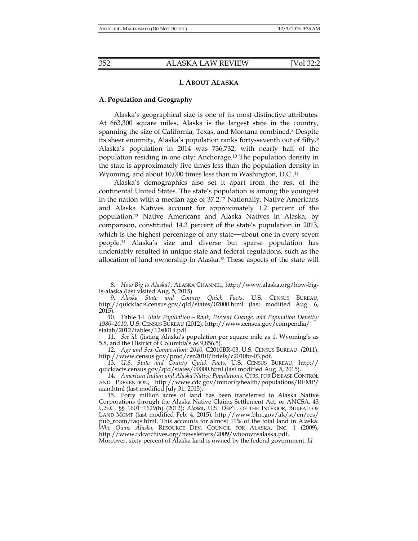# **I. ABOUT ALASKA**

# **A. Population and Geography**

Alaska's geographical size is one of its most distinctive attributes. At 663,300 square miles, Alaska is the largest state in the country, spanning the size of California, Texas, and Montana combined.8 Despite its sheer enormity, Alaska's population ranks forty-seventh out of fifty.9 Alaska's population in 2014 was 736,732, with nearly half of the population residing in one city: Anchorage.10 The population density in the state is approximately five times less than the population density in Wyoming, and about 10,000 times less than in Washington, D.C..<sup>11</sup>

Alaska's demographics also set it apart from the rest of the continental United States. The state's population is among the youngest in the nation with a median age of 37.2.12 Nationally, Native Americans and Alaska Natives account for approximately 1.2 percent of the population.13 Native Americans and Alaska Natives in Alaska, by comparison, constituted 14.3 percent of the state's population in 2013, which is the highest percentage of any state—about one in every seven people.14 Alaska's size and diverse but sparse population has undeniably resulted in unique state and federal regulations, such as the allocation of land ownership in Alaska.15 These aspects of the state will

 11. *See id.* (listing Alaska's population per square mile as 1, Wyoming's as 5.8, and the District of Columbia's as 9,856.5).

 12. *Age and Sex Composition: 2010*, C2010BR-03, U.S. CENSUS BUREAU (2011), http://www.census.gov/prod/cen2010/briefs/c2010br-03.pdf.

 13. *U.S. State and County Quick Facts*, U.S. CENSUS BUREAU, http:// quickfacts.census.gov/qfd/states/00000.html (last modified Aug. 5, 2015).

 14. *American Indian and Alaska Native Populations*, CTRS. FOR DISEASE CONTROL AND PREVENTION, http://www.cdc.gov/minorityhealth/populations/REMP/ aian.html (last modified July 31, 2015).

Moreover, sixty percent of Alaska land is owned by the federal government. *Id.*

 <sup>8.</sup> *How Big is Alaska?*, ALASKA CHANNEL, http://www.alaska.org/how-bigis-alaska (last visited Aug. 5, 2015).

 <sup>9.</sup> *Alaska State and County Quick Facts*, U.S. CENSUS BUREAU, http://quickfacts.census.gov/qfd/states/02000.html (last modified Aug. 6, 2015).

 <sup>10.</sup> Table 14. *State Population—Rank, Percent Change, and Population Density: 1980–2010*, U.S. CENSUS BUREAU (2012), http://www.census.gov/compendia/ statab/2012/tables/12s0014.pdf.

 <sup>15.</sup> Forty million acres of land has been transferred to Alaska Native Corporations through the Alaska Native Claims Settlement Act, or ANCSA. 43 U.S.C. §§ 1601−1629(h) (2012); *Alaska*, U.S. DEP'T. OF THE INTERIOR, BUREAU OF LAND MGMT (last modified Feb. 4, 2015), http://www.blm.gov/ak/st/en/res/ pub\_room/faqs.html. This accounts for almost 11% of the total land in Alaska. *Who Owns Alaska*, RESOURCE DEV. COUNCIL FOR ALASKA, INC. 1 (2009), http://www.rdcarchives.org/newsletters/2009/whoownsalaska.pdf.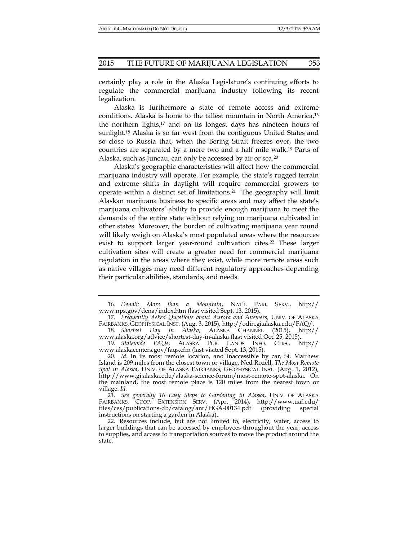certainly play a role in the Alaska Legislature's continuing efforts to regulate the commercial marijuana industry following its recent legalization.

Alaska is furthermore a state of remote access and extreme conditions. Alaska is home to the tallest mountain in North America,16 the northern lights,<sup>17</sup> and on its longest days has nineteen hours of sunlight.18 Alaska is so far west from the contiguous United States and so close to Russia that, when the Bering Strait freezes over, the two countries are separated by a mere two and a half mile walk.19 Parts of Alaska, such as Juneau, can only be accessed by air or sea.<sup>20</sup>

Alaska's geographic characteristics will affect how the commercial marijuana industry will operate. For example, the state's rugged terrain and extreme shifts in daylight will require commercial growers to operate within a distinct set of limitations.21 The geography will limit Alaskan marijuana business to specific areas and may affect the state's marijuana cultivators' ability to provide enough marijuana to meet the demands of the entire state without relying on marijuana cultivated in other states. Moreover, the burden of cultivating marijuana year round will likely weigh on Alaska's most populated areas where the resources exist to support larger year-round cultivation cites.<sup>22</sup> These larger cultivation sites will create a greater need for commercial marijuana regulation in the areas where they exist, while more remote areas such as native villages may need different regulatory approaches depending their particular abilities, standards, and needs.

 <sup>16.</sup> *Denali: More than a Mountain*, NAT'L PARK SERV., http:// www.nps.gov/dena/index.htm (last visited Sept. 13, 2015).

<sup>17</sup>*. Frequently Asked Questions about Aurora and Answers,* UNIV. OF ALASKA FAIRBANKS, GEOPHYSICAL INST. (Aug. 3, 2015), http://odin.gi.alaska.edu/FAQ/.

 <sup>18.</sup> *Shortest Day in Alaska*, ALASKA CHANNEL (2015), http:// www.alaska.org/advice/shortest-day-in-alaska (last visited Oct. 25, 2015).

 <sup>19.</sup> *Statewide FAQs*, ALASKA PUB. LANDS INFO. CTRS., http:// www.alaskacenters.gov/faqs.cfm (last visited Sept. 13, 2015).

 <sup>20.</sup> *Id*. In its most remote location, and inaccessible by car, St. Matthew Island is 209 miles from the closest town or village. Ned Rozell, *The Most Remote Spot in Alaska*, UNIV. OF ALASKA FAIRBANKS, GEOPHYSICAL INST. (Aug. 1, 2012), http://www.gi.alaska.edu/alaska-science-forum/most-remote-spot-alaska. On the mainland, the most remote place is 120 miles from the nearest town or village. *Id.* 

 <sup>21.</sup> *See generally 16 Easy Steps to Gardening in Alaska*, UNIV. OF ALASKA FAIRBANKS, COOP. EXTENSION SERV. (Apr. 2014), http://www.uaf.edu/ files/ces/publications-db/catalog/anr/HGA-00134.pdf (providing special instructions on starting a garden in Alaska).

 <sup>22.</sup> Resources include, but are not limited to, electricity, water, access to larger buildings that can be accessed by employees throughout the year, access to supplies, and access to transportation sources to move the product around the state.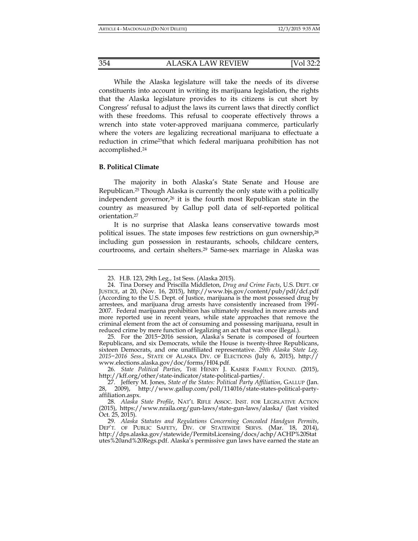While the Alaska legislature will take the needs of its diverse constituents into account in writing its marijuana legislation, the rights that the Alaska legislature provides to its citizens is cut short by Congress' refusal to adjust the laws its current laws that directly conflict with these freedoms. This refusal to cooperate effectively throws a wrench into state voter-approved marijuana commerce, particularly where the voters are legalizing recreational marijuana to effectuate a reduction in crime23that which federal marijuana prohibition has not accomplished.24

#### **B. Political Climate**

The majority in both Alaska's State Senate and House are Republican.25 Though Alaska is currently the only state with a politically independent governor,<sup>26</sup> it is the fourth most Republican state in the country as measured by Gallup poll data of self-reported political orientation.27

It is no surprise that Alaska leans conservative towards most political issues. The state imposes few restrictions on gun ownership,28 including gun possession in restaurants, schools, childcare centers, courtrooms, and certain shelters.29 Same-sex marriage in Alaska was

 25. For the 2015−2016 session, Alaska's Senate is composed of fourteen Republicans, and six Democrats, while the House is twenty-three Republicans, sixteen Democrats, and one unaffiliated representative. *29th Alaska State Leg. 2015−2016 Sess.*, STATE OF ALASKA DIV. OF ELECTIONS (July 6, 2015), http:// www.elections.alaska.gov/doc/forms/H04.pdf.

 <sup>23.</sup> H.B. 123, 29th Leg., 1st Sess. (Alaska 2015).

 <sup>24.</sup> Tina Dorsey and Priscilla Middleton, *Drug and Crime Facts*, U.S. DEPT. OF JUSTICE, at 20, (Nov. 16, 2015), http://www.bjs.gov/content/pub/pdf/dcf.pdf (According to the U.S. Dept. of Justice, marijuana is the most possessed drug by arrestees, and marijuana drug arrests have consistently increased from 1991- 2007. Federal marijuana prohibition has ultimately resulted in more arrests and more reported use in recent years, while state approaches that remove the criminal element from the act of consuming and possessing marijuana, result in reduced crime by mere function of legalizing an act that was once illegal.).

 <sup>26.</sup> *State Political Parties*, THE HENRY J. KAISER FAMILY FOUND. (2015), http://kff.org/other/state-indicator/state-political-parties/.

 <sup>27.</sup> Jeffery M. Jones, *State of the States: Political Party Affiliation*, GALLUP (Jan. 28, 2009), http://www.gallup.com/poll/114016/state-states-political-partyaffiliation.aspx.

 <sup>28.</sup> *Alaska State Profile*, NAT'L RIFLE ASSOC. INST. FOR LEGISLATIVE ACTION (2015), https://www.nraila.org/gun-laws/state-gun-laws/alaska/ (last visited Oct. 25, 2015).

 <sup>29.</sup> *Alaska Statutes and Regulations Concerning Concealed Handgun Permits*, DEP'T. OF PUBLIC SAFETY, DIV. OF STATEWIDE SERVS. (Mar. 18, 2014), http://dps.alaska.gov/statewide/PermitsLicensing/docs/achp/ACHP%20Stat utes%20and%20Regs.pdf. Alaska's permissive gun laws have earned the state an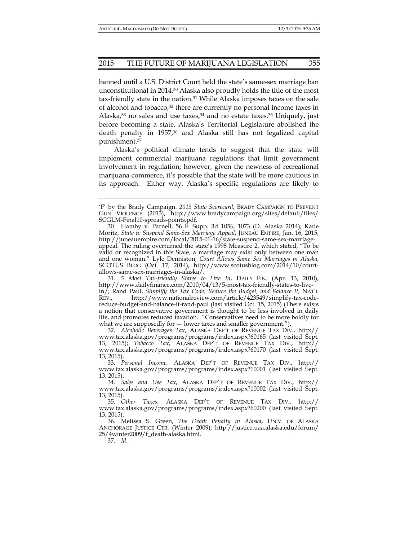banned until a U.S. District Court held the state's same-sex marriage ban unconstitutional in 2014.30 Alaska also proudly holds the title of the most tax-friendly state in the nation.31 While Alaska imposes taxes on the sale of alcohol and tobacco,<sup>32</sup> there are currently no personal income taxes in Alaska, $33$  no sales and use taxes, $34$  and no estate taxes. $35$  Uniquely, just before becoming a state, Alaska's Territorial Legislature abolished the death penalty in  $1957<sup>36</sup>$  and Alaska still has not legalized capital punishment.37

Alaska's political climate tends to suggest that the state will implement commercial marijuana regulations that limit government involvement in regulation; however, given the newness of recreational marijuana commerce, it's possible that the state will be more cautious in its approach. Either way, Alaska's specific regulations are likely to

37. *Id*.

<sup>&#</sup>x27;F' by the Brady Campaign. *2013 State Scorecard*, BRADY CAMPAIGN TO PREVENT GUN VIOLENCE (2013), http://www.bradycampaign.org/sites/default/files/ SCGLM-Final10-spreads-points.pdf.

 <sup>30.</sup> Hamby v. Parnell, 56 F. Supp. 3d 1056, 1073 (D. Alaska 2014); Katie Moritz, *State to Suspend Same-Sex Marriage Appeal*, JUNEAU EMPIRE, Jan. 16, 2015, http://juneauempire.com/local/2015-01-16/state-suspend-same-sex-marriageappeal. The ruling overturned the state's 1998 Measure 2, which stated, "To be valid or recognized in this State, a marriage may exist only between one man and one woman." Lyle Denniston, *Court Allows Same Sex Marriages in Alaska*, SCOTUS BLOG (Oct. 17, 2014), http://www.scotusblog.com/2014/10/courtallows-same-sex-marriages-in-alaska/.

 <sup>31.</sup> *5 Most Tax-friendly States to Live In*, DAILY FIN. (Apr. 13, 2010), http://www.dailyfinance.com/2010/04/13/5-most-tax-friendly-states-to-livein/; Rand Paul, *Simplify the Tax Code, Reduce the Budget, and Balance It*, NAT'L REV., http://www.nationalreview.com/article/423549/simplify-tax-codereduce-budget-and-balance-it-rand-paul (last visited Oct. 15, 2015) (There exists a notion that conservative government is thought to be less involved in daily life, and promotes reduced taxation. "Conservatives need to be more boldly for what we are supposedly for  $-$  lower taxes and smaller government.").

 <sup>32.</sup> *Alcoholic Beverages Tax*, ALASKA DEP'T OF REVENUE TAX DIV., http:// www.tax.alaska.gov/programs/programs/index.aspx?60165 (last visited Sept. 13, 2015); *Tobacco Tax*, ALASKA DEP'T OF REVENUE TAX DIV., http:// www.tax.alaska.gov/programs/programs/index.aspx?60170 (last visited Sept. 13, 2015).

 <sup>33.</sup> *Personal Income*, ALASKA DEP'T OF REVENUE TAX DIV., http:// www.tax.alaska.gov/programs/programs/index.aspx?10001 (last visited Sept. 13, 2015).

 <sup>34.</sup> *Sales and Use Tax*, ALASKA DEP'T OF REVENUE TAX DIV., http:// www.tax.alaska.gov/programs/programs/index.aspx?10002 (last visited Sept. 13, 2015).

 <sup>35.</sup> *Other Taxes*, ALASKA DEP'T OF REVENUE TAX DIV., http:// www.tax.alaska.gov/programs/programs/index.aspx?60200 (last visited Sept. 13, 2015).

 <sup>36.</sup> Melissa S. Green, *The Death Penalty in Alaska*, UNIV. OF ALASKA ANCHORAGE JUSTICE CTR. (Winter 2009), http://justice.uaa.alaska.edu/forum/ 25/4winter2009/f\_death-alaska.html.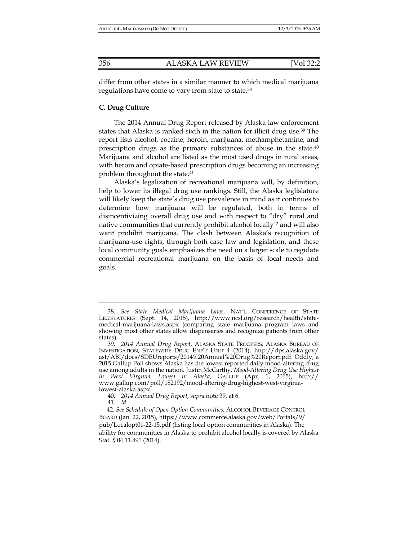differ from other states in a similar manner to which medical marijuana regulations have come to vary from state to state.38

# **C. Drug Culture**

 The 2014 Annual Drug Report released by Alaska law enforcement states that Alaska is ranked sixth in the nation for illicit drug use.39 The report lists alcohol, cocaine, heroin, marijuana, methamphetamine, and prescription drugs as the primary substances of abuse in the state.40 Marijuana and alcohol are listed as the most used drugs in rural areas, with heroin and opiate-based prescription drugs becoming an increasing problem throughout the state.41

 Alaska's legalization of recreational marijuana will, by definition, help to lower its illegal drug use rankings. Still, the Alaska leglislature will likely keep the state's drug use prevalence in mind as it continues to determine how marijuana will be regulated, both in terms of disincentivizing overall drug use and with respect to "dry" rural and native communities that currently prohibit alcohol locally<sup>42</sup> and will also want prohibit marijuana. The clash between Alaska's recognition of marijuana-use rights, through both case law and legislation, and these local community goals emphasizes the need on a larger scale to regulate commercial recreational marijuana on the basis of local needs and goals.

 <sup>38.</sup> *See State Medical Marijuana Laws*, NAT'L CONFERENCE OF STATE LEGISLATURES (Sept. 14, 2015), http://www.ncsl.org/research/health/statemedical-marijuana-laws.aspx (comparing state marijuana program laws and showing most other states allow dispensaries and recognize patients from other states).

 <sup>39.</sup> *2014 Annual Drug Report*, ALASKA STATE TROOPERS, ALASKA BUREAU OF INVESTIGATION, STATEWIDE DRUG ENF'T UNIT 4 (2014), http://dps.alaska.gov/ ast/ABI/docs/SDEUreports/2014%20Annual%20Drug%20Report.pdf. Oddly, a 2015 Gallup Poll shows Alaska has the lowest reported daily mood-altering drug use among adults in the nation. Justin McCarthy, *Mood-Altering Drug Use Highest in West Virginia, Lowest in Alaska*, GALLUP (Apr. 1, 2015), http:// www.gallup.com/poll/182192/mood-altering-drug-highest-west-virginialowest-alaska.aspx.

 <sup>40.</sup> *2014 Annual Drug Report*, *supra* note 39, at 6.

 <sup>41.</sup> *Id*.

 <sup>42.</sup> *See Schedule of Open Option Communities*, ALCOHOL BEVERAGE CONTROL BOARD (Jan. 22, 2015), https://www.commerce.alaska.gov/web/Portals/9/ pub/Localopt01-22-15.pdf (listing local option communities in Alaska). The ability for communities in Alaska to prohibit alcohol locally is covered by Alaska Stat. § 04.11.491 (2014).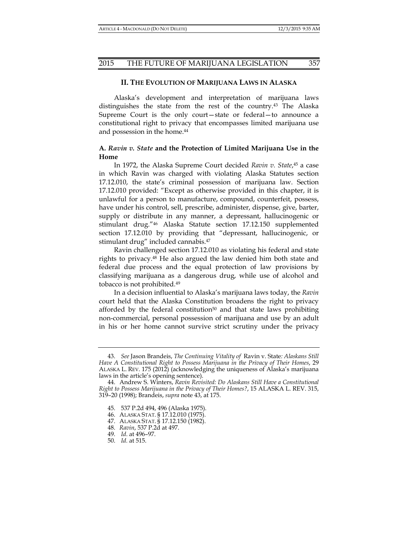# **II. THE EVOLUTION OF MARIJUANA LAWS IN ALASKA**

Alaska's development and interpretation of marijuana laws distinguishes the state from the rest of the country.43 The Alaska Supreme Court is the only court—state or federal—to announce a constitutional right to privacy that encompasses limited marijuana use and possession in the home.<sup>44</sup>

# **A.** *Ravin v. State* **and the Protection of Limited Marijuana Use in the Home**

In 1972, the Alaska Supreme Court decided *Ravin v. State*, 45 a case in which Ravin was charged with violating Alaska Statutes section 17.12.010, the state's criminal possession of marijuana law. Section 17.12.010 provided: "Except as otherwise provided in this chapter, it is unlawful for a person to manufacture, compound, counterfeit, possess, have under his control, sell, prescribe, administer, dispense, give, barter, supply or distribute in any manner, a depressant, hallucinogenic or stimulant drug."46 Alaska Statute section 17.12.150 supplemented section 17.12.010 by providing that "depressant, hallucinogenic, or stimulant drug" included cannabis.<sup>47</sup>

Ravin challenged section 17.12.010 as violating his federal and state rights to privacy.48 He also argued the law denied him both state and federal due process and the equal protection of law provisions by classifying marijuana as a dangerous drug, while use of alcohol and tobacco is not prohibited.<sup>49</sup>

In a decision influential to Alaska's marijuana laws today, the *Ravin*  court held that the Alaska Constitution broadens the right to privacy afforded by the federal constitution<sup>50</sup> and that state laws prohibiting non-commercial, personal possession of marijuana and use by an adult in his or her home cannot survive strict scrutiny under the privacy

- 45. 537 P.2d 494, 496 (Alaska 1975).
- 46. ALASKA STAT. § 17.12.010 (1975).
- 47. ALASKA STAT. § 17.12.150 (1982).
- 48. *Ravin*, 537 P.2d at 497.
- 49. *Id*. at 496–97.
- 50. *Id.* at 515.

 <sup>43.</sup> *See* Jason Brandeis, *The Continuing Vitality of* Ravin v. State*: Alaskans Still Have A Constitutional Right to Possess Marijuana in the Privacy of Their Homes*, 29 ALASKA L. REV. 175 (2012) (acknowledging the uniqueness of Alaska's marijuana laws in the article's opening sentence).

 <sup>44.</sup> Andrew S. Winters, *Ravin Revisited: Do Alaskans Still Have a Constitutional Right to Possess Marijuana in the Privacy of Their Homes?*, 15 ALASKA L. REV. 315, 319–20 (1998); Brandeis, *supra* note 43, at 175.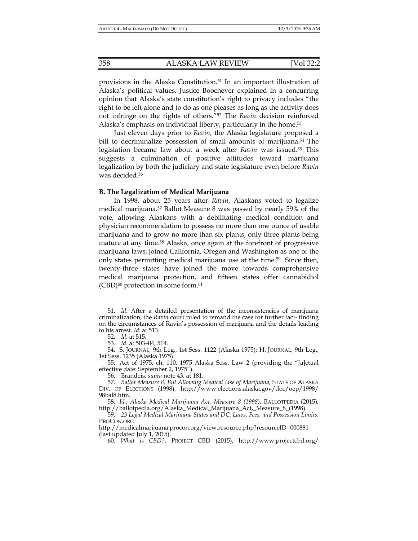provisions in the Alaska Constitution.51 In an important illustration of Alaska's political values, Justice Boochever explained in a concurring opinion that Alaska's state constitution's right to privacy includes "the right to be left alone and to do as one pleases as long as the activity does not infringe on the rights of others."52 The *Ravin* decision reinforced Alaska's emphasis on individual liberty, particularly in the home.<sup>53</sup>

Just eleven days prior to *Ravin*, the Alaska legislature proposed a bill to decriminalize possession of small amounts of marijuana.54 The legislation became law about a week after *Ravin* was issued.55 This suggests a culmination of positive attitudes toward marijuana legalization by both the judiciary and state legislature even before *Ravin* was decided.56

#### **B. The Legalization of Medical Marijuana**

In 1998, about 25 years after *Ravin*, Alaskans voted to legalize medical marijuana.57 Ballot Measure 8 was passed by nearly 59% of the vote, allowing Alaskans with a debilitating medical condition and physician recommendation to possess no more than one ounce of usable marijuana and to grow no more than six plants, only three plants being mature at any time.58 Alaska, once again at the forefront of progressive marijuana laws, joined California, Oregon and Washington as one of the only states permitting medical marijuana use at the time.<sup>59</sup> Since then, twenty-three states have joined the move towards comprehensive medical marijuana protection, and fifteen states offer cannabidiol  $(CBD)^{60}$  protection in some form.<sup>61</sup>

56. Brandeis, *supra* note 43, at 181.

 <sup>51.</sup> *Id*. After a detailed presentation of the inconsistencies of marijuana criminalization, the *Ravin* court ruled to remand the case for further fact- finding on the circumstances of Ravin's possession of marijuana and the details leading to his arrest. *Id.* at 513.

 <sup>52.</sup> *Id.* at 515.

 <sup>53.</sup> *Id.* at 503–04, 514.

 <sup>54.</sup> S. JOURNAL, 9th Leg., 1st Sess. 1122 (Alaska 1975); H. JOURNAL, 9th Leg., 1st Sess. 1235 (Alaska 1975).

 <sup>55.</sup> Act of 1975, ch. 110, 1975 Alaska Sess. Law 2 (providing the "[a]ctual effective date: September 2, 1975").

 <sup>57.</sup> *Ballot Measure 8, Bill Allowing Medical Use of Marijuana*, STATE OF ALASKA DIV. OF ELECTIONS (1998), http://www.elections.alaska.gov/doc/oep/1998/ 98bal8.htm.

 <sup>58.</sup> *Id.*; *Alaska Medical Marijuana Act, Measure 8 (1998)*, BALLOTPEDIA (2015), http://ballotpedia.org/Alaska\_Medical\_Marijuana\_Act,\_Measure\_8\_(1998).

 <sup>59.</sup> *23 Legal Medical Marijuana States and DC: Laws, Fees, and Possession Limits*, PROCON.ORG

http://medicalmarijuana.procon.org/view.resource.php?resourceID=000881 (last updated July 1, 2015).

 <sup>60.</sup> *What is CBD?*, PROJECT CBD (2015), http://www.projectcbd.org/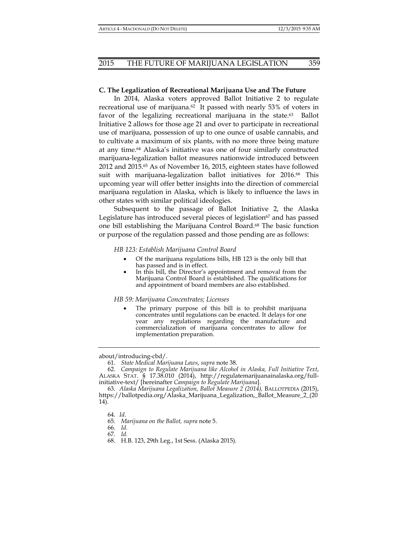#### **C. The Legalization of Recreational Marijuana Use and The Future**

In 2014, Alaska voters approved Ballot Initiative 2 to regulate recreational use of marijuana.<sup>62</sup> It passed with nearly 53% of voters in favor of the legalizing recreational marijuana in the state.<sup>63</sup> Ballot Initiative 2 allows for those age 21 and over to participate in recreational use of marijuana, possession of up to one ounce of usable cannabis, and to cultivate a maximum of six plants, with no more three being mature at any time.64 Alaska's initiative was one of four similarly constructed marijuana-legalization ballot measures nationwide introduced between 2012 and 2015. $5\frac{5}{5}$  As of November 16, 2015, eighteen states have followed suit with marijuana-legalization ballot initiatives for 2016.66 This upcoming year will offer better insights into the direction of commercial marijuana regulation in Alaska, which is likely to influence the laws in other states with similar political ideologies.

Subsequent to the passage of Ballot Initiative 2, the Alaska Legislature has introduced several pieces of legislation<sup>67</sup> and has passed one bill establishing the Marijuana Control Board.<sup>68</sup> The basic function or purpose of the regulation passed and those pending are as follows:

*HB 123: Establish Marijuana Control Board* 

- Of the marijuana regulations bills, HB 123 is the only bill that has passed and is in effect.
- In this bill, the Director's appointment and removal from the Marijuana Control Board is established. The qualifications for and appointment of board members are also established.

#### *HB 59: Marijuana Concentrates; Licenses*

 The primary purpose of this bill is to prohibit marijuana concentrates until regulations can be enacted. It delays for one year any regulations regarding the manufacture and commercialization of marijuana concentrates to allow for implementation preparation.

about/introducing-cbd/.

 <sup>61.</sup> *State Medical Marijuana Laws*, *supra* note 38.

 <sup>62.</sup> *Campaign to Regulate Marijuana like Alcohol in Alaska, Full Initiative Text*, ALASKA STAT. § 17.38.010 (2014), http://regulatemarijuanainalaska.org/fullinitiative-text/ [hereinafter *Campaign to Regulate Marijuana*].

 <sup>63.</sup> *Alaska Marijuana Legalization, Ballot Measure 2 (2014),* BALLOTPEDIA (2015), https://ballotpedia.org/Alaska\_Marijuana\_Legalization,\_Ballot\_Measure\_2\_(20 14).

 <sup>64.</sup> *Id*.

 <sup>65.</sup> *Marijuana on the Ballot, supra* note 5.

 <sup>66.</sup> *Id.*

 <sup>67.</sup> *Id.* 

 <sup>68.</sup> H.B. 123, 29th Leg., 1st Sess. (Alaska 2015).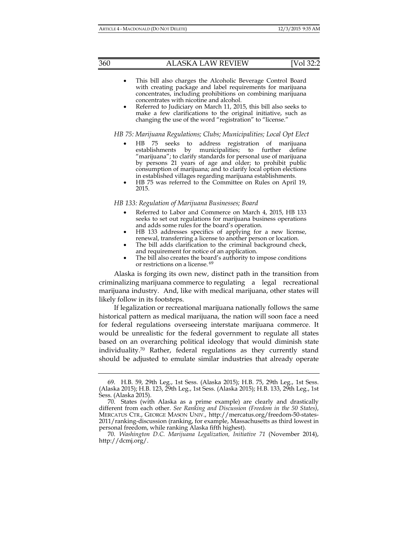- This bill also charges the Alcoholic Beverage Control Board with creating package and label requirements for marijuana concentrates, including prohibitions on combining marijuana concentrates with nicotine and alcohol.
- Referred to Judiciary on March 11, 2015, this bill also seeks to make a few clarifications to the original initiative, such as changing the use of the word "registration" to "license."

# *HB 75: Marijuana Regulations; Clubs; Municipalities; Local Opt Elect*

- HB 75 seeks to address registration of marijuana establishments by municipalities; to further define "marijuana"; to clarify standards for personal use of marijuana by persons 21 years of age and older; to prohibit public consumption of marijuana; and to clarify local option elections in established villages regarding marijuana establishments.
- HB 75 was referred to the Committee on Rules on April 19, 2015.

## *HB 133: Regulation of Marijuana Businesses; Board*

- Referred to Labor and Commerce on March 4, 2015, HB 133 seeks to set out regulations for marijuana business operations and adds some rules for the board's operation.
- HB 133 addresses specifics of applying for a new license, renewal, transferring a license to another person or location.
- The bill adds clarification to the criminal background check, and requirement for notice of an application.
- The bill also creates the board's authority to impose conditions or restrictions on a license. 69

Alaska is forging its own new, distinct path in the transition from criminalizing marijuana commerce to regulating a legal recreational marijuana industry. And, like with medical marijuana, other states will likely follow in its footsteps.

 If legalization or recreational marijuana nationally follows the same historical pattern as medical marijuana, the nation will soon face a need for federal regulations overseeing interstate marijuana commerce. It would be unrealistic for the federal government to regulate all states based on an overarching political ideology that would diminish state individuality.70 Rather, federal regulations as they currently stand should be adjusted to emulate similar industries that already operate

 <sup>69.</sup> H.B. 59, 29th Leg., 1st Sess. (Alaska 2015); H.B. 75, 29th Leg., 1st Sess. (Alaska 2015); H.B. 123, 29th Leg., 1st Sess. (Alaska 2015); H.B. 133, 29th Leg., 1st Sess. (Alaska 2015).

 <sup>70.</sup> States (with Alaska as a prime example) are clearly and drastically different from each other. *See Ranking and Discussion (Freedom in the 50 States)*, MERCATUS CTR., GEORGE MASON UNIV., http://mercatus.org/freedom-50-states-2011/ranking-discussion (ranking, for example, Massachusetts as third lowest in personal freedom, while ranking Alaska fifth highest).

 <sup>70.</sup> *Washington D.C. Marijuana Legalization, Initiative 71* (November 2014), http://dcmj.org/.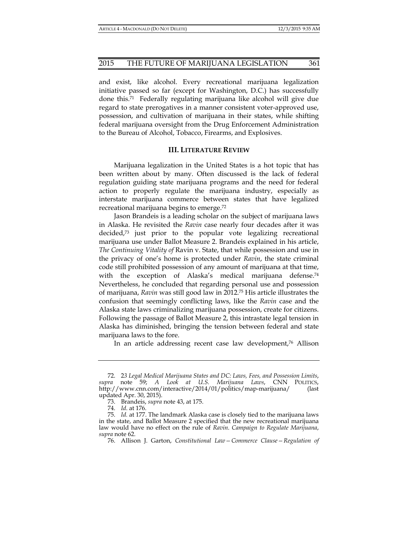and exist, like alcohol. Every recreational marijuana legalization initiative passed so far (except for Washington, D.C.) has successfully done this.71 Federally regulating marijuana like alcohol will give due regard to state prerogatives in a manner consistent voter-approved use, possession, and cultivation of marijuana in their states, while shifting federal marijuana oversight from the Drug Enforcement Administration to the Bureau of Alcohol, Tobacco, Firearms, and Explosives.

# **III. LITERATURE REVIEW**

Marijuana legalization in the United States is a hot topic that has been written about by many. Often discussed is the lack of federal regulation guiding state marijuana programs and the need for federal action to properly regulate the marijuana industry, especially as interstate marijuana commerce between states that have legalized recreational marijuana begins to emerge.72

Jason Brandeis is a leading scholar on the subject of marijuana laws in Alaska. He revisited the *Ravin* case nearly four decades after it was decided,73 just prior to the popular vote legalizing recreational marijuana use under Ballot Measure 2. Brandeis explained in his article, *The Continuing Vitality of* Ravin v. State, that while possession and use in the privacy of one's home is protected under *Ravin*, the state criminal code still prohibited possession of any amount of marijuana at that time, with the exception of Alaska's medical marijuana defense.<sup>74</sup> Nevertheless, he concluded that regarding personal use and possession of marijuana, *Ravin* was still good law in 2012.75 His article illustrates the confusion that seemingly conflicting laws, like the *Ravin* case and the Alaska state laws criminalizing marijuana possession, create for citizens. Following the passage of Ballot Measure 2, this intrastate legal tension in Alaska has diminished, bringing the tension between federal and state marijuana laws to the fore.

In an article addressing recent case law development,<sup>76</sup> Allison

 <sup>72. 2</sup>*3 Legal Medical Marijuana States and DC: Laws, Fees, and Possession Limits*, *supra* note 59; *A Look at U.S. Marijuana Laws*, CNN POLITICS, http://www.cnn.com/interactive/2014/01/politics/map-marijuana/ (last updated Apr. 30, 2015).

 <sup>73.</sup> Brandeis, *supra* note 43, at 175.

 <sup>74.</sup> *Id*. at 176.

 <sup>75.</sup> *Id.* at 177. The landmark Alaska case is closely tied to the marijuana laws in the state, and Ballot Measure 2 specified that the new recreational marijuana law would have no effect on the rule of *Ravin*. *Campaign to Regulate Marijuana*, *supra* note 62.

 <sup>76.</sup> Allison J. Garton, *Constitutional Law—Commerce Clause—Regulation of*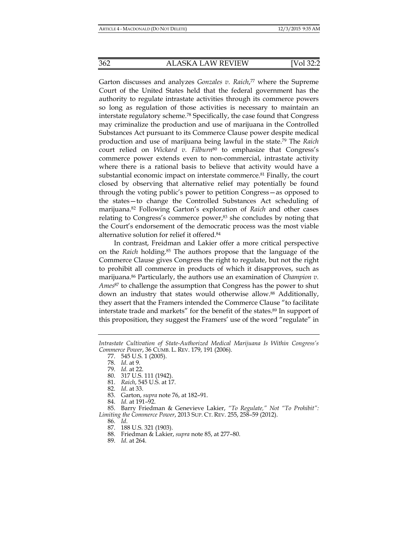Garton discusses and analyzes *Gonzales v. Raich*, 77 where the Supreme Court of the United States held that the federal government has the authority to regulate intrastate activities through its commerce powers so long as regulation of those activities is necessary to maintain an interstate regulatory scheme.78 Specifically, the case found that Congress may criminalize the production and use of marijuana in the Controlled Substances Act pursuant to its Commerce Clause power despite medical production and use of marijuana being lawful in the state.79 The *Raich*  court relied on *Wickard v. Filburn<sup>80</sup>* to emphasize that Congress's commerce power extends even to non-commercial, intrastate activity where there is a rational basis to believe that activity would have a substantial economic impact on interstate commerce.81 Finally, the court closed by observing that alternative relief may potentially be found through the voting public's power to petition Congress—as opposed to the states—to change the Controlled Substances Act scheduling of marijuana.82 Following Garton's exploration of *Raich* and other cases relating to Congress's commerce power,<sup>83</sup> she concludes by noting that the Court's endorsement of the democratic process was the most viable alternative solution for relief it offered.84

In contrast, Freidman and Lakier offer a more critical perspective on the *Raich* holding.85 The authors propose that the language of the Commerce Clause gives Congress the right to regulate, but not the right to prohibit all commerce in products of which it disapproves, such as marijuana.86 Particularly, the authors use an examination of *Champion v. Ames*87 to challenge the assumption that Congress has the power to shut down an industry that states would otherwise allow.<sup>88</sup> Additionally, they assert that the Framers intended the Commerce Clause "to facilitate interstate trade and markets" for the benefit of the states.89 In support of this proposition, they suggest the Framers' use of the word "regulate" in

78. *Id*. at 9.

- 83. Garton, *supra* note 76, at 182–91.
- 84. *Id.* at 191–92.

 85. Barry Friedman & Genevieve Lakier, *"To Regulate," Not "To Prohibit": Limiting the Commerce Power*, 2013 SUP. CT. REV. 255, 258–59 (2012).

 86. *Id*. 87. 188 U.S. 321 (1903).

- 88. Friedman & Lakier, *supra* note 85, at 277–80.
- 89. *Id*. at 264.

*Intrastate Cultivation of State-Authorized Medical Marijuana Is Within Congress's Commerce Power*, 36 CUMB. L. REV. 179, 191 (2006).

 <sup>77. 545</sup> U.S. 1 (2005).

 <sup>79.</sup> *Id.* at 22.

 <sup>80. 317</sup> U.S. 111 (1942).

 <sup>81.</sup> *Raich*, 545 U.S. at 17.

 <sup>82.</sup> *Id*. at 33.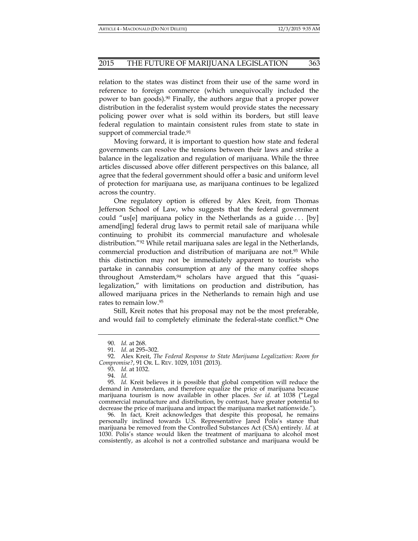relation to the states was distinct from their use of the same word in reference to foreign commerce (which unequivocally included the power to ban goods).90 Finally, the authors argue that a proper power distribution in the federalist system would provide states the necessary policing power over what is sold within its borders, but still leave federal regulation to maintain consistent rules from state to state in support of commercial trade.<sup>91</sup>

Moving forward, it is important to question how state and federal governments can resolve the tensions between their laws and strike a balance in the legalization and regulation of marijuana. While the three articles discussed above offer different perspectives on this balance, all agree that the federal government should offer a basic and uniform level of protection for marijuana use, as marijuana continues to be legalized across the country.

One regulatory option is offered by Alex Kreit, from Thomas Jefferson School of Law, who suggests that the federal government could "us[e] marijuana policy in the Netherlands as a guide . . . [by] amend[ing] federal drug laws to permit retail sale of marijuana while continuing to prohibit its commercial manufacture and wholesale distribution."92 While retail marijuana sales are legal in the Netherlands, commercial production and distribution of marijuana are not.93 While this distinction may not be immediately apparent to tourists who partake in cannabis consumption at any of the many coffee shops throughout Amsterdam,94 scholars have argued that this "quasilegalization," with limitations on production and distribution, has allowed marijuana prices in the Netherlands to remain high and use rates to remain low.95

Still, Kreit notes that his proposal may not be the most preferable, and would fail to completely eliminate the federal-state conflict.<sup>96</sup> One

94. *Id.* 

 95. *Id.* Kreit believes it is possible that global competition will reduce the demand in Amsterdam, and therefore equalize the price of marijuana because marijuana tourism is now available in other places. See id. at 1038 ("Legal commercial manufacture and distribution, by contrast, have greater potential to decrease the price of marijuana and impact the marijuana market nationwide.").

96. In fact, Kreit acknowledges that despite this proposal, he remains personally inclined towards U.S. Representative Jared Polis's stance that marijuana be removed from the Controlled Substances Act (CSA) entirely. *Id.* at 1030. Polis's stance would liken the treatment of marijuana to alcohol most consistently, as alcohol is not a controlled substance and marijuana would be

 <sup>90.</sup> *Id.* at 268.

 <sup>91.</sup> *Id*. at 295–302.

 <sup>92.</sup> Alex Kreit, *The Federal Response to State Marijuana Legalization: Room for Compromise?*, 91 OR. L. REV. 1029, 1031 (2013).

 <sup>93.</sup> *Id.* at 1032.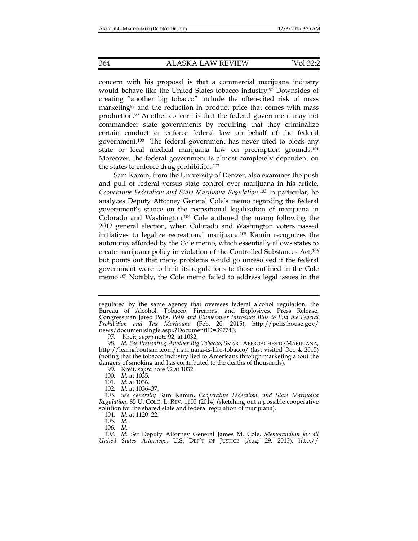concern with his proposal is that a commercial marijuana industry would behave like the United States tobacco industry.97 Downsides of creating "another big tobacco" include the often-cited risk of mass marketing<sup>98</sup> and the reduction in product price that comes with mass production.99 Another concern is that the federal government may not commandeer state governments by requiring that they criminalize certain conduct or enforce federal law on behalf of the federal government.100 The federal government has never tried to block any state or local medical marijuana law on preemption grounds.101 Moreover, the federal government is almost completely dependent on the states to enforce drug prohibition.102

Sam Kamin, from the University of Denver, also examines the push and pull of federal versus state control over marijuana in his article, *Cooperative Federalism and State Marijuana Regulation*. 103 In particular, he analyzes Deputy Attorney General Cole's memo regarding the federal government's stance on the recreational legalization of marijuana in Colorado and Washington.104 Cole authored the memo following the 2012 general election, when Colorado and Washington voters passed initiatives to legalize recreational marijuana.105 Kamin recognizes the autonomy afforded by the Cole memo, which essentially allows states to create marijuana policy in violation of the Controlled Substances Act,106 but points out that many problems would go unresolved if the federal government were to limit its regulations to those outlined in the Cole memo.107 Notably, the Cole memo failed to address legal issues in the

regulated by the same agency that oversees federal alcohol regulation, the Bureau of Alcohol, Tobacco, Firearms, and Explosives. Press Release, Congressman Jared Polis, *Polis and Blumenauer Introduce Bills to End the Federal Prohibition and Tax Marijuana* (Feb. 20, 2015), http://polis.house.gov/ news/documentsingle.aspx?DocumentID=397743.

 <sup>97.</sup> Kreit, *supra* note 92, at 1032.

 <sup>98.</sup> *Id. See Preventing Another Big Tobacco*, SMART APPROACHES TO MARIJUANA, http://learnaboutsam.com/marijuana-is-like-tobacco/ (last visited Oct. 4, 2015) (noting that the tobacco industry lied to Americans through marketing about the dangers of smoking and has contributed to the deaths of thousands).

 <sup>99.</sup> Kreit, *supra* note 92 at 1032.

 <sup>100.</sup> *Id.* at 1035.

 <sup>101.</sup> *Id.* at 1036.

 <sup>102.</sup> *Id.* at 1036–37.

 <sup>103.</sup> *See generally* Sam Kamin, *Cooperative Federalism and State Marijuana Regulation*, 85 U. COLO. L. REV. 1105 (2014) (sketching out a possible cooperative solution for the shared state and federal regulation of marijuana).

 <sup>104.</sup> *Id*. at 1120–22.

 <sup>105.</sup> *Id*.

 <sup>106.</sup> *Id*.

 <sup>107.</sup> *Id*. *See* Deputy Attorney General James M. Cole, *Memorandum for all United States Attorneys*, U.S. DEP'T OF JUSTICE (Aug. 29, 2013), http://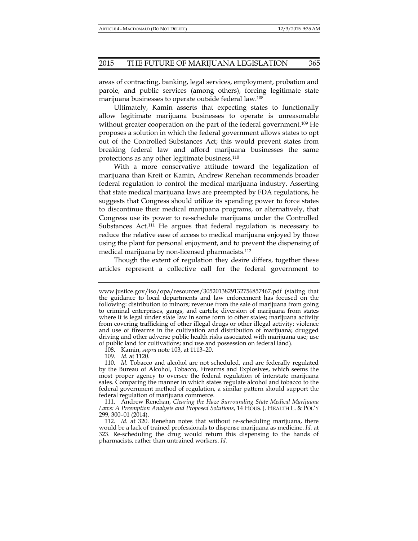areas of contracting, banking, legal services, employment, probation and parole, and public services (among others), forcing legitimate state marijuana businesses to operate outside federal law.108

Ultimately, Kamin asserts that expecting states to functionally allow legitimate marijuana businesses to operate is unreasonable without greater cooperation on the part of the federal government.<sup>109</sup> He proposes a solution in which the federal government allows states to opt out of the Controlled Substances Act; this would prevent states from breaking federal law and afford marijuana businesses the same protections as any other legitimate business.110

With a more conservative attitude toward the legalization of marijuana than Kreit or Kamin, Andrew Renehan recommends broader federal regulation to control the medical marijuana industry. Asserting that state medical marijuana laws are preempted by FDA regulations, he suggests that Congress should utilize its spending power to force states to discontinue their medical marijuana programs, or alternatively, that Congress use its power to re-schedule marijuana under the Controlled Substances Act.<sup>111</sup> He argues that federal regulation is necessary to reduce the relative ease of access to medical marijuana enjoyed by those using the plant for personal enjoyment, and to prevent the dispensing of medical marijuana by non-licensed pharmacists.112

Though the extent of regulation they desire differs, together these articles represent a collective call for the federal government to

www.justice.gov/iso/opa/resources/3052013829132756857467.pdf (stating that the guidance to local departments and law enforcement has focused on the following: distribution to minors; revenue from the sale of marijuana from going to criminal enterprises, gangs, and cartels; diversion of marijuana from states where it is legal under state law in some form to other states; marijuana activity from covering trafficking of other illegal drugs or other illegal activity; violence and use of firearms in the cultivation and distribution of marijuana; drugged driving and other adverse public health risks associated with marijuana use; use of public land for cultivations; and use and possession on federal land).

 <sup>108.</sup> Kamin, *supra* note 103, at 1113–20.

 <sup>109.</sup> *Id.* at 1120.

 <sup>110.</sup> *Id.* Tobacco and alcohol are not scheduled, and are federally regulated by the Bureau of Alcohol, Tobacco, Firearms and Explosives, which seems the most proper agency to oversee the federal regulation of interstate marijuana sales. Comparing the manner in which states regulate alcohol and tobacco to the federal government method of regulation, a similar pattern should support the federal regulation of marijuana commerce.

 <sup>111.</sup> Andrew Renehan, *Clearing the Haze Surrounding State Medical Marijuana*  Laws: A Preemption Analysis and Proposed Solutions, 14 HOUS. J. HEALTH L. & POL'Y 299, 300–01 (2014).

 <sup>112.</sup> *Id.* at 320. Renehan notes that without re-scheduling marijuana, there would be a lack of trained professionals to dispense marijuana as medicine. *Id.* at 323. Re-scheduling the drug would return this dispensing to the hands of pharmacists, rather than untrained workers. *Id.*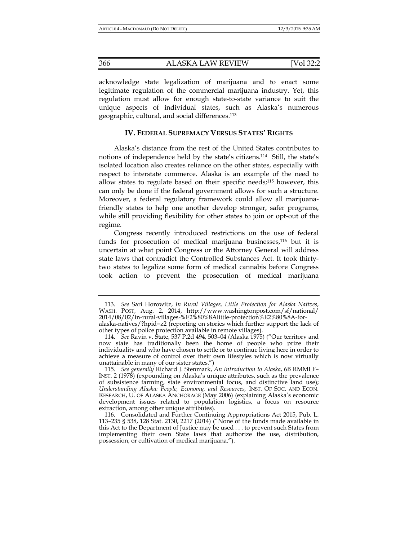acknowledge state legalization of marijuana and to enact some legitimate regulation of the commercial marijuana industry. Yet, this regulation must allow for enough state-to-state variance to suit the unique aspects of individual states, such as Alaska's numerous geographic, cultural, and social differences.113

# **IV. FEDERAL SUPREMACY VERSUS STATES' RIGHTS**

Alaska's distance from the rest of the United States contributes to notions of independence held by the state's citizens.114 Still, the state's isolated location also creates reliance on the other states, especially with respect to interstate commerce. Alaska is an example of the need to allow states to regulate based on their specific needs;115 however, this can only be done if the federal government allows for such a structure. Moreover, a federal regulatory framework could allow all marijuanafriendly states to help one another develop stronger, safer programs, while still providing flexibility for other states to join or opt-out of the regime.

Congress recently introduced restrictions on the use of federal funds for prosecution of medical marijuana businesses,<sup>116</sup> but it is uncertain at what point Congress or the Attorney General will address state laws that contradict the Controlled Substances Act. It took thirtytwo states to legalize some form of medical cannabis before Congress took action to prevent the prosecution of medical marijuana

 <sup>113.</sup> *See* Sari Horowitz, *In Rural Villages, Little Protection for Alaska Natives*, WASH. POST, Aug. 2, 2014, http://www.washingtonpost.com/sf/national/ 2014/08/02/in-rural-villages-%E2%80%8Alittle-protection%E2%80%8A-foralaska-natives/?hpid=z2 (reporting on stories which further support the lack of

other types of police protection available in remote villages).

 <sup>114.</sup> *See* Ravin v. State, 537 P.2d 494, 503–04 (Alaska 1975) ("Our territory and now state has traditionally been the home of people who prize their individuality and who have chosen to settle or to continue living here in order to achieve a measure of control over their own lifestyles which is now virtually unattainable in many of our sister states.")

 <sup>115.</sup> *See generally* Richard J. Stenmark, *An Introduction to Alaska*, 6B RMMLF– INST. 2 (1978) (expounding on Alaska's unique attributes, such as the prevalence of subsistence farming, state environmental focus, and distinctive land use); *Understanding Alaska: People, Economy, and Resources,* INST. OF SOC. AND ECON. RESEARCH, U. OF ALASKA ANCHORAGE (May 2006) (explaining Alaska's economic development issues related to population logistics, a focus on resource extraction, among other unique attributes).

 <sup>116.</sup> Consolidated and Further Continuing Appropriations Act 2015, Pub. L. 113–235 § 538, 128 Stat. 2130, 2217 (2014) ("None of the funds made available in this Act to the Department of Justice may be used . . . to prevent such States from implementing their own State laws that authorize the use, distribution, possession, or cultivation of medical marijuana.").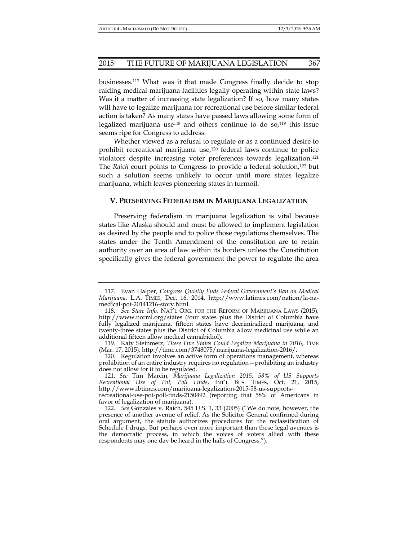businesses.117 What was it that made Congress finally decide to stop raiding medical marijuana facilities legally operating within state laws? Was it a matter of increasing state legalization? If so, how many states will have to legalize marijuana for recreational use before similar federal action is taken? As many states have passed laws allowing some form of legalized marijuana use<sup>118</sup> and others continue to do so,<sup>119</sup> this issue seems ripe for Congress to address.

Whether viewed as a refusal to regulate or as a continued desire to prohibit recreational marijuana use,<sup>120</sup> federal laws continue to police violators despite increasing voter preferences towards legalization.121 The *Raich* court points to Congress to provide a federal solution,122 but such a solution seems unlikely to occur until more states legalize marijuana, which leaves pioneering states in turmoil.

# **V. PRESERVING FEDERALISM IN MARIJUANA LEGALIZATION**

Preserving federalism in marijuana legalization is vital because states like Alaska should and must be allowed to implement legislation as desired by the people and to police those regulations themselves. The states under the Tenth Amendment of the constitution are to retain authority over an area of law within its borders unless the Constitution specifically gives the federal government the power to regulate the area

 119. Katy Steinmetz, *These Five States Could Legalize Marijuana in 2016*, TIME (Mar. 17, 2015), http://time.com/3748075/marijuana-legalization-2016/.

 120. Regulation involves an active form of operations management, whereas prohibition of an entire industry requires no regulation—prohibiting an industry does not allow for it to be regulated.

 121. *See* Tim Marcin, *Marijuana Legalization 2015: 58% of US Supports Recreational Use of Pot, Poll Finds*, INT'L BUS. TIMES, Oct. 21, 2015, http://www.ibtimes.com/marijuana-legalization-2015-58-us-supports-

recreational-use-pot-poll-finds-2150492 (reporting that 58% of Americans in favor of legalization of marijuana).

 <sup>117.</sup> Evan Halper, *Congress Quietly Ends Federal Government's Ban on Medical Marijuana*, L.A. TIMES, Dec. 16, 2014, http://www.latimes.com/nation/la-namedical-pot-20141216-story.html.

 <sup>118.</sup> *See State Info,* NAT'L ORG. FOR THE REFORM OF MARIJUANA LAWS (2015), http://www.norml.org/states (four states plus the District of Columbia have fully legalized marijuana, fifteen states have decriminalized marijuana, and twenty-three states plus the District of Columbia allow medicinal use while an additional fifteen allow medical cannabidiol).

 <sup>122.</sup> *See* Gonzales v. Raich, 545 U.S. 1, 33 (2005) ("We do note, however, the presence of another avenue of relief. As the Solicitor General confirmed during oral argument, the statute authorizes procedures for the reclassification of Schedule I drugs. But perhaps even more important than these legal avenues is the democratic process, in which the voices of voters allied with these respondents may one day be heard in the halls of Congress.").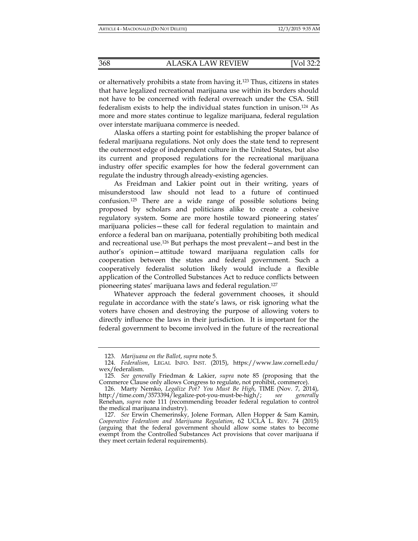or alternatively prohibits a state from having it.123 Thus, citizens in states that have legalized recreational marijuana use within its borders should not have to be concerned with federal overreach under the CSA. Still federalism exists to help the individual states function in unison.124 As more and more states continue to legalize marijuana, federal regulation over interstate marijuana commerce is needed.

Alaska offers a starting point for establishing the proper balance of federal marijuana regulations. Not only does the state tend to represent the outermost edge of independent culture in the United States, but also its current and proposed regulations for the recreational marijuana industry offer specific examples for how the federal government can regulate the industry through already-existing agencies.

As Freidman and Lakier point out in their writing, years of misunderstood law should not lead to a future of continued confusion.125 There are a wide range of possible solutions being proposed by scholars and politicians alike to create a cohesive regulatory system. Some are more hostile toward pioneering states' marijuana policies—these call for federal regulation to maintain and enforce a federal ban on marijuana, potentially prohibiting both medical and recreational use.126 But perhaps the most prevalent—and best in the author's opinion—attitude toward marijuana regulation calls for cooperation between the states and federal government. Such a cooperatively federalist solution likely would include a flexible application of the Controlled Substances Act to reduce conflicts between pioneering states' marijuana laws and federal regulation.127

Whatever approach the federal government chooses, it should regulate in accordance with the state's laws, or risk ignoring what the voters have chosen and destroying the purpose of allowing voters to directly influence the laws in their jurisdiction. It is important for the federal government to become involved in the future of the recreational

 <sup>123.</sup> *Marijuana on the Ballot*, *supra* note 5.

 <sup>124.</sup> *Federalism*, LEGAL INFO. INST. (2015), https://www.law.cornell.edu/ wex/federalism.

 <sup>125.</sup> *See generally* Friedman & Lakier, *supra* note 85 (proposing that the Commerce Clause only allows Congress to regulate, not prohibit, commerce).

 <sup>126.</sup> Marty Nemko, *Legalize Pot? You Must Be High*, TIME (Nov. 7, 2014), http://time.com/3573394/legalize-pot-you-must-be-high/; *see generally* Renehan, *supra* note 111 (recommending broader federal regulation to control the medical marijuana industry).

 <sup>127.</sup> *See* Erwin Chemerinsky, Jolene Forman, Allen Hopper & Sam Kamin, *Cooperative Federalism and Marijuana Regulation, 62 UCLA L. REV. 74 (2015)* (arguing that the federal government should allow some states to become exempt from the Controlled Substances Act provisions that cover marijuana if they meet certain federal requirements).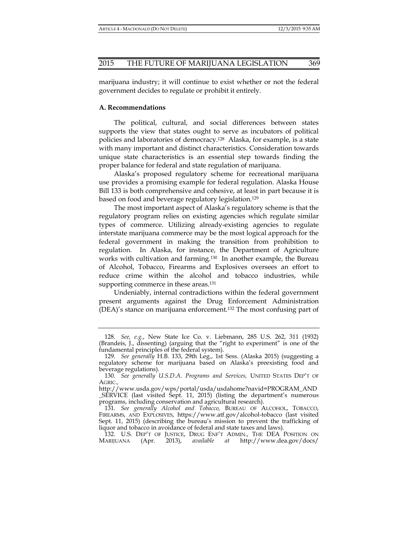marijuana industry; it will continue to exist whether or not the federal government decides to regulate or prohibit it entirely.

# **A. Recommendations**

The political, cultural, and social differences between states supports the view that states ought to serve as incubators of political policies and laboratories of democracy.128 Alaska, for example, is a state with many important and distinct characteristics. Consideration towards unique state characteristics is an essential step towards finding the proper balance for federal and state regulation of marijuana.

Alaska's proposed regulatory scheme for recreational marijuana use provides a promising example for federal regulation. Alaska House Bill 133 is both comprehensive and cohesive, at least in part because it is based on food and beverage regulatory legislation.129

The most important aspect of Alaska's regulatory scheme is that the regulatory program relies on existing agencies which regulate similar types of commerce. Utilizing already-existing agencies to regulate interstate marijuana commerce may be the most logical approach for the federal government in making the transition from prohibition to regulation. In Alaska, for instance, the Department of Agriculture works with cultivation and farming.130 In another example, the Bureau of Alcohol, Tobacco, Firearms and Explosives oversees an effort to reduce crime within the alcohol and tobacco industries, while supporting commerce in these areas.<sup>131</sup>

Undeniably, internal contradictions within the federal government present arguments against the Drug Enforcement Administration (DEA)'s stance on marijuana enforcement.132 The most confusing part of

 <sup>128.</sup> *See, e.g.*, New State Ice Co. v. Liebmann, 285 U.S. 262, 311 (1932) (Brandeis, J., dissenting) (arguing that the "right to experiment" is one of the fundamental principles of the federal system).

 <sup>129.</sup> *See generally* H.B. 133, 29th Leg., 1st Sess. (Alaska 2015) (suggesting a regulatory scheme for marijuana based on Alaska's preexisting food and beverage regulations).

 <sup>130.</sup> *See generally U.S.D.A. Programs and Services,* UNITED STATES DEP'T OF AGRIC.*,*

http://www.usda.gov/wps/portal/usda/usdahome?navid=PROGRAM\_AND \_SERVICE (last visited Sept. 11, 2015) (listing the department's numerous programs, including conservation and agricultural research).

 <sup>131.</sup> *See generally Alcohol and Tobacco,* BUREAU OF ALCOHOL, TOBACCO, FIREARMS, AND EXPLOSIVES, https://www.atf.gov/alcohol-tobacco (last visited Sept. 11, 2015) (describing the bureau's mission to prevent the trafficking of liquor and tobacco in avoidance of federal and state taxes and laws).

<sup>132.</sup> U.S. DEP'T OF JUSTICE, DRUG ENF'T ADMIN., THE DEA POSITION ON IARIJUANA (Apr. 2013), available at http://www.dea.gov/docs/ MARIJUANA (Apr. 2013), *available at* http://www.dea.gov/docs/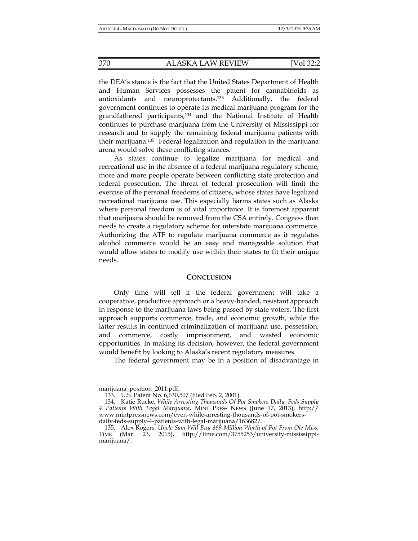the DEA's stance is the fact that the United States Department of Health and Human Services possesses the patent for cannabinoids as antioxidants and neuroprotectants.133 Additionally, the federal government continues to operate its medical marijuana program for the grandfathered participants,134 and the National Institute of Health continues to purchase marijuana from the University of Mississippi for research and to supply the remaining federal marijuana patients with their marijuana.135 Federal legalization and regulation in the marijuana arena would solve these conflicting stances.

As states continue to legalize marijuana for medical and recreational use in the absence of a federal marijuana regulatory scheme, more and more people operate between conflicting state protection and federal prosecution. The threat of federal prosecution will limit the exercise of the personal freedoms of citizens, whose states have legalized recreational marijuana use. This especially harms states such as Alaska where personal freedom is of vital importance. It is foremost apparent that marijuana should be removed from the CSA entirely. Congress then needs to create a regulatory scheme for interstate marijuana commerce. Authorizing the ATF to regulate marijuana commerce as it regulates alcohol commerce would be an easy and manageable solution that would allow states to modify use within their states to fit their unique needs.

# **CONCLUSION**

Only time will tell if the federal government will take a cooperative, productive approach or a heavy-handed, resistant approach in response to the marijuana laws being passed by state voters. The first approach supports commerce, trade, and economic growth, while the latter results in continued criminalization of marijuana use, possession, and commerce, costly imprisonment, and wasted economic opportunities. In making its decision, however, the federal government would benefit by looking to Alaska's recent regulatory measures.

The federal government may be in a position of disadvantage in

marijuana\_position\_2011.pdf.

 <sup>133.</sup> U.S. Patent No. 6,630,507 (filed Feb. 2, 2001).

 <sup>134.</sup> Katie Rucke, *While Arresting Thousands Of Pot Smokers Daily, Feds Supply 4 Patients With Legal Marijuana*, MINT PRESS NEWS (June 17, 2013), http:// www.mintpressnews.com/even-while-arresting-thousands-of-pot-smokersdaily-feds-supply-4-patients-with-legal-marijuana/163682/.

 <sup>135.</sup> Alex Rogers, *Uncle Sam Will Buy \$69 Million Worth of Pot From Ole Miss*, TIME (Mar. 23, 2015), http://time.com/3755253/university-mississippimarijuana/.